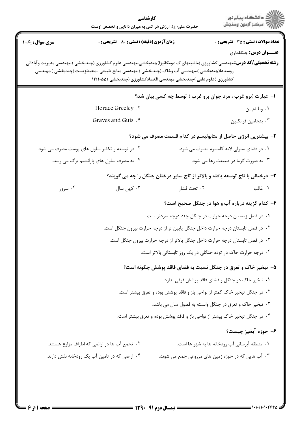|                                                                                                                                                                                                                                                                                                                                      | كارشناسي<br>حضرت علی(ع): ارزش هر کس به میزان دانایی و تخصص اوست |             | ِ دانشڪاه پيا <sub>م</sub> نور<br>۾ مرڪز آزمون وسنڊش                           |
|--------------------------------------------------------------------------------------------------------------------------------------------------------------------------------------------------------------------------------------------------------------------------------------------------------------------------------------|-----------------------------------------------------------------|-------------|--------------------------------------------------------------------------------|
| <b>سری سوال:</b> یک ۱                                                                                                                                                                                                                                                                                                                | <b>زمان آزمون (دقیقه) : تستی : 80 ٪ تشریحی : 0</b>              |             | <b>تعداد سوالات : تستی : 35 - تشریحی : 0</b>                                   |
| <b>عنـــوان درس:</b> جنگلداری<br><b>رشته تحصیلی/کد درس:</b> مهندسی کشاورزی (ماشینهای ک ×ومکانیزا)چندبخشی،مهندسی علوم کشاورزی (چندبخشی )،مهندسی مدیریت وآبادانی<br>روستاها(چندبخشی )،مهندسی آب وخاک (چندبخشی )،مهندسی منابع طبیعی -محیطزیست (چندبخشی )،مهندسی<br>کشاورزی (علوم دامی )چندبخشی،مهندسی اقتصادکشاورزی (چندبخشی )۱۱۲۱۰۵۵ ( |                                                                 |             |                                                                                |
|                                                                                                                                                                                                                                                                                                                                      |                                                                 |             | ا- عبارت (برو غرب ، مرد جوان برو غرب ) توسط چه کسی بیان شد؟                    |
|                                                                                                                                                                                                                                                                                                                                      | Horace Greeley .                                                |             | ٠١ ويليام پن                                                                   |
|                                                                                                                                                                                                                                                                                                                                      | Graves and Guis . r                                             |             | ۰۳ بنجامين فرانكلين                                                            |
| ۲- بیشترین انرژی حاصل از متابولیسم در کدام قسمت مصرف می شود؟                                                                                                                                                                                                                                                                         |                                                                 |             |                                                                                |
|                                                                                                                                                                                                                                                                                                                                      | ۰۲ در توسعه و تکثیر سلول های پوست مصرف می شود.                  |             | ۰۱ در فضای سلولی لایه کامبیوم مصرف می شود.                                     |
|                                                                                                                                                                                                                                                                                                                                      | ۰۴ به مصرف سلول های پارانشیم برگ می رسد.                        |             | ۰۳ به صورت گرما در طبیعت رها می شود.                                           |
|                                                                                                                                                                                                                                                                                                                                      |                                                                 |             | ۳- درختانی با تاج توسعه یافته و بالاتر از تاج سایر درختان جنگل را چه می گویند؟ |
| ۰۴ سرور                                                                                                                                                                                                                                                                                                                              | ۰۳ کهن سال                                                      | ۰۲ تحت فشار | ۰۱ غالب                                                                        |
|                                                                                                                                                                                                                                                                                                                                      |                                                                 |             | ۴- کدام گزینه درباره آب و هوا در جنگل صحیح است؟                                |
|                                                                                                                                                                                                                                                                                                                                      |                                                                 |             | ۰۱ در فصل زمستان درجه حرارت در جنگل چند درجه سردتر است.                        |
|                                                                                                                                                                                                                                                                                                                                      |                                                                 |             | ۰۲ در فصل تابستان درجه حرارت داخل جنگل پایین تر از درجه حرارت بیرون جنگل است.  |
|                                                                                                                                                                                                                                                                                                                                      |                                                                 |             | ۰۳ در فصل تابستان درجه حرارت داخل جنگل بالاتر از درجه حرارت بیرون جنگل است.    |
|                                                                                                                                                                                                                                                                                                                                      |                                                                 |             | ۰۴ درجه حرارت خاک در توده جنگلی در یک روز تابستانی بالاتر است.                 |
|                                                                                                                                                                                                                                                                                                                                      |                                                                 |             | ۵– تبخیر خاک و تعرق در جنگل نسبت به فضای فاقد پوشش چگونه است؟                  |
|                                                                                                                                                                                                                                                                                                                                      |                                                                 |             | ٠١ تبخير خاک در جنگل و فضاى فاقد پوشش فرقى ندارد.                              |
|                                                                                                                                                                                                                                                                                                                                      |                                                                 |             | ۰۲ در جنگل تبخیر خاک کمتر از نواحی باز و فاقد پوشش بوده و تعرق بیشتر است.      |
|                                                                                                                                                                                                                                                                                                                                      |                                                                 |             | ۰۳ تبخیر خاک و تعرق در جنگل وابسته به فصول سال می باشد.                        |
|                                                                                                                                                                                                                                                                                                                                      |                                                                 |             | ۰۴ در جنگل تبخیر خاک بیشتر از نواحی باز و فاقد پوشش بوده و تعرق بیشتر است.     |
|                                                                                                                                                                                                                                                                                                                                      |                                                                 |             | ۶– حوزه آبخيز چيست؟                                                            |
|                                                                                                                                                                                                                                                                                                                                      | ۰۲ تجمع آب ها در اراضی که اطراف مزارع هستند.                    |             | ٠١. منطقه آبرساني آب رودخانه ها به شهر ها است.                                 |
|                                                                                                                                                                                                                                                                                                                                      | ۰۴ اراضی که در تامین آب یک رودخانه نقش دارند.                   |             | ۰۳ آب هایی که در حوزه زمین های مزروعی جمع می شوند.                             |
|                                                                                                                                                                                                                                                                                                                                      |                                                                 |             |                                                                                |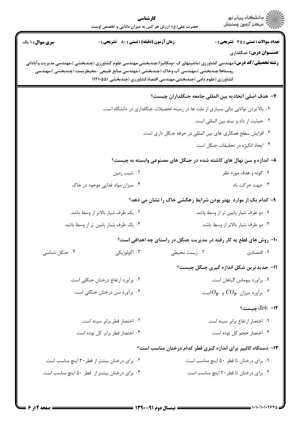|                                                                                                                                                                                                                                                                                                                                    | كارشناسي<br>حضرت علی(ع): ارزش هر کس به میزان دانایی و تخصص اوست            |               | ر<br>دانشڪاه پيام نور)<br>اڳ مرڪز آزمون وسنڊش                 |
|------------------------------------------------------------------------------------------------------------------------------------------------------------------------------------------------------------------------------------------------------------------------------------------------------------------------------------|----------------------------------------------------------------------------|---------------|---------------------------------------------------------------|
| <b>سری سوال : ۱ یک</b>                                                                                                                                                                                                                                                                                                             | <b>زمان آزمون (دقیقه) : تستی : 80 ٪ تشریحی : 0</b>                         |               | <b>تعداد سوالات : تستی : 35 - تشریحی : 0</b>                  |
| <b>عنـــوان درس:</b> جنگلداری<br><b>رشته تحصیلی/کد درس:</b> مهندسی کشاورزی (ماشینهای ک ×ومکانیزا)چندبخشی،مهندسی علوم کشاورزی (چندبخشی )،مهندسی مدیریت وآبادانی<br>روستاها(چندبخشی )،مهندسی آب وخاک (چندبخشی )،مهندسی منابع طبیعی -محیطزیست (چندبخشی )،مهندسی<br>کشاورزی (علوم دامی )چندبخشی،مهندسی اقتصادکشاورزی (چندبخشی )۱۱۲۱۰۵۵ |                                                                            |               |                                                               |
| ۷– هدف اصلی اتحادیه بین المللی جامعه جنگلداران چیست؟                                                                                                                                                                                                                                                                               |                                                                            |               |                                                               |
| ۰۱ بالا بردن توانایی مالی بسیاری از ملت ها در زمینه تحصیلات جنگلداری در دانشگاه است.                                                                                                                                                                                                                                               |                                                                            |               |                                                               |
| ۰۲ حمایت از داد و ستد بین المللی است.                                                                                                                                                                                                                                                                                              |                                                                            |               |                                                               |
| ۰۳ افزایش سطح همکاری های بین المللی در حرفه جنگل داری است.                                                                                                                                                                                                                                                                         |                                                                            |               |                                                               |
|                                                                                                                                                                                                                                                                                                                                    |                                                                            |               | ۰۴ ایجاد انگیزه در تحقیقات جنگل است.                          |
| ۸– اندازه و سن نهال های کاشته شده در جنگل های مصنوعی وابسته به چیست؟                                                                                                                                                                                                                                                               |                                                                            |               |                                                               |
|                                                                                                                                                                                                                                                                                                                                    | ۰۲ شیب زمین                                                                |               | ۰۱ گونه و هدف مورد نظر                                        |
|                                                                                                                                                                                                                                                                                                                                    | ۰۴ مبزان مواد غذایی موجود در خاک                                           |               | ۰۳ جهت حرکت باد                                               |
|                                                                                                                                                                                                                                                                                                                                    |                                                                            |               | ۹- کدام یک از موارد بهتر بودن شرایط زهکشی خاک را نشان می دهد؟ |
|                                                                                                                                                                                                                                                                                                                                    | ۰۲ یک طرف شیار بالاتر از وسط باشد.<br>۰۱ دو طرف شیار پایین تر از وسط باشد. |               |                                                               |
| ۰۴ یک طرف شیار پایین تر از وسط باشد.<br>۰۳ دو طرف شیار بالاتر از وسط باشد.                                                                                                                                                                                                                                                         |                                                                            |               |                                                               |
| ۱۰- روش های قطع به کار رفته در مدیریت جنگل در راستای چه اهدافی است؟                                                                                                                                                                                                                                                                |                                                                            |               |                                                               |
| ۰۴ جنگل شناسی                                                                                                                                                                                                                                                                                                                      | ۰۳ اکولوژیکی                                                               | ۰۲ زیست محیطی | ۰۱ اقتصادی                                                    |
|                                                                                                                                                                                                                                                                                                                                    |                                                                            |               | 1۱- جدیدترین شکل اندازه گیری جنگل چیست؟                       |
|                                                                                                                                                                                                                                                                                                                                    | ٠٢ برآورد ارتفاع درختان جنگلی است.                                         |               | ٠١. برآورد بيوماس گياهان است.                                 |
| ۰۴ برآورد سن درختان جنگلی است.                                                                                                                                                                                                                                                                                                     |                                                                            |               | ترآورد میزان م $CO_\mathsf{P}$ و م $O_\mathsf{P}$ است. "      |
|                                                                                                                                                                                                                                                                                                                                    |                                                                            |               | dbh  –۱۲ چیست؟                                                |
|                                                                                                                                                                                                                                                                                                                                    | ۰۲ اختصار قطر برابر سينه است.                                              |               | ٠١ اختصار ارتفاع برابر سينه است.                              |
|                                                                                                                                                                                                                                                                                                                                    | ۰۴ اختصار قطر برابر كل توده است.                                           |               | ۰۳ اختصار حجم کل توده است.                                    |
| ۱۳– دستگاه کالیپر برای اندازه گیری قطر کدام درختان مناسب است؟                                                                                                                                                                                                                                                                      |                                                                            |               |                                                               |
|                                                                                                                                                                                                                                                                                                                                    | ۰۲ برای درختان بیشتر از قطر ۲۰ اینچ مناسب است.                             |               | ٠١. براي درختان تا قطر ۵٠ اينچ مناسب است.                     |
|                                                                                                                                                                                                                                                                                                                                    | ۰۴ برای درختان بیشتر از قطر ۵۰ اینچ مناسب است.                             |               | ۰۳ برای درختان تا قطر ۲۰ اینچ مناسب است.                      |
|                                                                                                                                                                                                                                                                                                                                    |                                                                            |               |                                                               |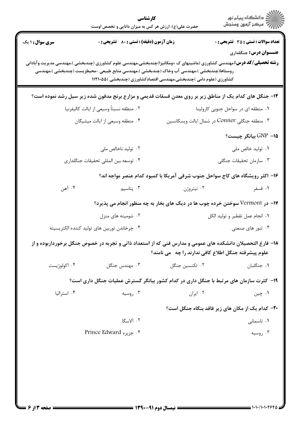|                                                                                                                                                                                                                                                                                                                                      | كارشناسي<br>حضرت علی(ع): ارزش هر کس به میزان دانایی و تخصص اوست                        |                                                                              | ِ<br>∭ دانشڪاه پيام نور<br>∭ مرڪز آزمون وسنڊش            |
|--------------------------------------------------------------------------------------------------------------------------------------------------------------------------------------------------------------------------------------------------------------------------------------------------------------------------------------|----------------------------------------------------------------------------------------|------------------------------------------------------------------------------|----------------------------------------------------------|
| <b>سری سوال : ۱ یک</b>                                                                                                                                                                                                                                                                                                               | <b>زمان آزمون (دقیقه) : تستی : 80 ٪ تشریحی : 0</b>                                     |                                                                              | <b>تعداد سوالات : تستی : 35 تشریحی : 0</b>               |
| <b>عنـــوان درس:</b> جنگلداری<br><b>رشته تحصیلی/کد درس:</b> مهندسی کشاورزی (ماشینهای ک ×ومکانیزا)چندبخشی،مهندسی علوم کشاورزی (چندبخشی )،مهندسی مدیریت وآبادانی<br>روستاها(چندبخشی )،مهندسی آب وخاک (چندبخشی )،مهندسی منابع طبیعی -محیطزیست (چندبخشی )،مهندسی<br>کشاورزی (علوم دامی )چندبخشی،مهندسی اقتصادکشاورزی (چندبخشی )۱۱۲۱۰۵۵ ( |                                                                                        |                                                                              |                                                          |
| ۱۴- جنگل های کدام یک از مناطق زیر بر روی معدن فسفات قدیمی و مزارع برنج مدفون شده زیر سیل رشد نموده است؟                                                                                                                                                                                                                              |                                                                                        |                                                                              |                                                          |
| ۰۱ منطقه ای در سواحل جنوبی کارولینا<br>٠٢ منطقه نسبتاً وسيعي از ايالت كاليفرنيا                                                                                                                                                                                                                                                      |                                                                                        |                                                                              |                                                          |
|                                                                                                                                                                                                                                                                                                                                      | ۰۴ منطقه وسيعي از ايالت ميشيگان                                                        | ۰۳ منطقه جنگلی Conner در شمال ایالت ویسکانسین                                |                                                          |
|                                                                                                                                                                                                                                                                                                                                      |                                                                                        |                                                                              | GNP -10 بیانگر چیست؟                                     |
|                                                                                                                                                                                                                                                                                                                                      | ۰۲ تولید ناخالص ملی                                                                    |                                                                              | ۰۱ تولید خالص ملی                                        |
|                                                                                                                                                                                                                                                                                                                                      | ۰۴ توسعه بين المللي تحقيقات جنگلداري                                                   |                                                                              | ۰۳ سازمان تحقیقات جنگلی                                  |
| ۱۶– اکثر رویشگاه های کاج سواحل جنوب شرقی آمریکا با کمبود کدام عنصر مواجه اند؟                                                                                                                                                                                                                                                        |                                                                                        |                                                                              |                                                          |
| ۰۴ آهن                                                                                                                                                                                                                                                                                                                               | ۰۳ پتاسیم                                                                              | ۰۲ نیتروژن                                                                   | ۰۱ فسفر                                                  |
|                                                                                                                                                                                                                                                                                                                                      |                                                                                        | ۱۷- در Vermont سوختن خرده چوب ها در دیگ های بخار به چه منظور انجام می پذیرد؟ |                                                          |
|                                                                                                                                                                                                                                                                                                                                      | ۰۲ شومینه های منزل                                                                     |                                                                              | ٠١ انجام عمل تقطير و توليد الكل                          |
| ۰۲ چرخاندن توربین های تولید کننده الکتریسیته<br>۰۲ تنور های صنعت <u>ی</u>                                                                                                                                                                                                                                                            |                                                                                        |                                                                              |                                                          |
| ۱۸– فارغ التحصیلان دانشکده های عمومی و مدارس فنی که از استعداد ذاتی و تجربه در خصوص جنگل برخورداربوده و از<br>علوم پیشرفته جنگل اطلاع کافی ندارند را چه می نامند؟                                                                                                                                                                    |                                                                                        |                                                                              |                                                          |
| ۰۴ اکولوژیست                                                                                                                                                                                                                                                                                                                         | ۰۳ مهندس جنگل                                                                          | ۰۲ تکنسین جنگل                                                               | ۰۱ جنگلبان                                               |
|                                                                                                                                                                                                                                                                                                                                      | ۱۹- کثرت سازمان های مرتبط با جنگل داری در کدام کشور بیانگر گسترش عملیات جنگل داری است؟ |                                                                              |                                                          |
| ۰۴ استرالیا                                                                                                                                                                                                                                                                                                                          | ۰۳ روسیه                                                                               | ۰۲ ایران                                                                     | ۰۱ چين                                                   |
|                                                                                                                                                                                                                                                                                                                                      |                                                                                        |                                                                              | <b>۲۰</b> - کدام یک از مکان های زیر فاقد بنگاه جنگل است؟ |
|                                                                                                                                                                                                                                                                                                                                      | ۰۲ آلاسگا                                                                              |                                                                              | ٠١ تاسمانى                                               |
|                                                                                                                                                                                                                                                                                                                                      | ۴. جزیره Prince Edward                                                                 |                                                                              | ۰۳ روسیه                                                 |
|                                                                                                                                                                                                                                                                                                                                      |                                                                                        |                                                                              |                                                          |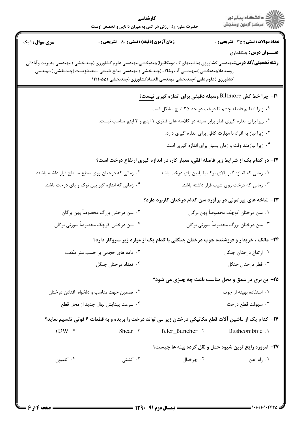|                                                                                                                                                                                                                                                                                                     | كارشناسي<br>حضرت علی(ع): ارزش هر کس به میزان دانایی و تخصص اوست |                        | ≦ دانشڪاه پيام نور<br>7- مرڪز آزمون وسنڊش                                   |
|-----------------------------------------------------------------------------------------------------------------------------------------------------------------------------------------------------------------------------------------------------------------------------------------------------|-----------------------------------------------------------------|------------------------|-----------------------------------------------------------------------------|
| <b>سری سوال : ۱ یک</b>                                                                                                                                                                                                                                                                              | زمان آزمون (دقیقه) : تستی : 80 ٪ تشریحی : 0                     |                        | <b>تعداد سوالات : تستی : 35 تشریحی : 0</b><br><b>عنـــوان درس:</b> جنگلداری |
| <b>رشته تحصیلی/کد درس:</b> مهندسی کشاورزی (ماشینهای ک ×ومکانیزا)چندبخشی،مهندسی علوم کشاورزی (چندبخشی )،مهندسی مدیریت وآبادانی<br>روستاها(چندبخشی )،مهندسی آب وخاک (چندبخشی )،مهندسی منابع طبیعی –محیطزیست (چندبخشی )،مهندسی<br>کشاورزی (علوم دامی )چندبخشی،مهندسی اقتصادکشاورزی (چندبخشی )۱۱۲۱۰۵۵ ( |                                                                 |                        |                                                                             |
| <b>۲۱</b> – چرا خط کش Biltmore وسیله دقیقی برای اندازه گیری نیست؟                                                                                                                                                                                                                                   |                                                                 |                        |                                                                             |
| <mark>۱.</mark> زیرا تنظیم فاصله چشم تا درخت در حد ۲۵ اینچ مشکل است.                                                                                                                                                                                                                                |                                                                 |                        |                                                                             |
| ۰۲ زیرا برای اندازه گیری قطر برابر سینه در کلاسه های قطری ۱ اینچ و ۲ اینچ مناسب نیست.                                                                                                                                                                                                               |                                                                 |                        |                                                                             |
| ۰۳ زیرا نیاز به افراد با مهارت کافی برای اندازه گیری دارد.                                                                                                                                                                                                                                          |                                                                 |                        |                                                                             |
|                                                                                                                                                                                                                                                                                                     |                                                                 |                        | ۰۴ زیرا نیازمند وقت و زمان بسیار برای اندازه گیری است.                      |
| ۲۲- در کدام یک از شرایط زیر فاصله افقی، معیار کار، در اندازه گیری ارتفاع درخت است؟                                                                                                                                                                                                                  |                                                                 |                        |                                                                             |
| ۰۲ زمانی که درختان روی سطح مسطح قرار داشته باشند.                                                                                                                                                                                                                                                   |                                                                 |                        | ۰۱ زمانی که اندازه گیر بالای نوک یا پایین پای درخت باشد.                    |
|                                                                                                                                                                                                                                                                                                     | ۰۴ زمانی که اندازه گیر بین نوک و پای درخت باشد.                 |                        | ۰۳ زمانی که درخت روی شیب قرار داشته باشد.                                   |
| ۲۳– شاخه های پیرامونی در بر آورد سن کدام درختان کاربرد دارد؟                                                                                                                                                                                                                                        |                                                                 |                        |                                                                             |
|                                                                                                                                                                                                                                                                                                     | ۰۲ سن درختان بزرگ مخصوصاً پهن برگان                             |                        | ۰۱ سن درختان کوچک مخصوصاً پهن برگان                                         |
|                                                                                                                                                                                                                                                                                                     | ۰۴ سن درختان کوچک مخصوصاً سوزنی برگان                           |                        | ۰۳ سن درختان بزرگ مخصوصاً سوزنی برگان                                       |
| ۲۴- مالک ، خریدار و فروشنده چوب درختان جنگلی با کدام یک از موارد زیر سروکار دارد؟                                                                                                                                                                                                                   |                                                                 |                        |                                                                             |
| ۰۲ داده های حجمی بر حسب متر مکعب                                                                                                                                                                                                                                                                    |                                                                 |                        | ٠١ ارتفاع درختان جنگل                                                       |
|                                                                                                                                                                                                                                                                                                     | ۰۴ تعداد درختان جنگل                                            |                        | ۰۳ قطر درختان جنگل                                                          |
|                                                                                                                                                                                                                                                                                                     |                                                                 |                        | <b>۲۵</b> - بن بری در عمق و محل مناسب باعث چه چیزی می شود؟                  |
| ۰۲ تضمین جهت مناسب و دلخواه افتادن درختان                                                                                                                                                                                                                                                           |                                                                 |                        | ۰۱ استفاده بهینه از چوب                                                     |
| ۰۴ سرعت پیدایش نهال جدید از محل قطع                                                                                                                                                                                                                                                                 |                                                                 |                        | ۰۳ سهولت قطع درخت                                                           |
| ۲۶– کدام یک از ماشین آلات قطع مکانیکی درختان زیر می تواند درخت را بریده و به قطعات ۶ فوتی تقسیم نماید؟                                                                                                                                                                                              |                                                                 |                        |                                                                             |
| $fDW$ .                                                                                                                                                                                                                                                                                             | Shear .r                                                        | <b>Feler_Buncher</b> . | Bushcombine .                                                               |
|                                                                                                                                                                                                                                                                                                     |                                                                 |                        | ٢٧- امروزه رايج ترين شيوه حمل و نقل گرده بينه ها چيست؟                      |
| ۰۴ كاميون                                                                                                                                                                                                                                                                                           | ۰۳ کشتی                                                         | ۰۲ چرخبال              | ۰۱ راه آهن                                                                  |
|                                                                                                                                                                                                                                                                                                     |                                                                 |                        |                                                                             |
|                                                                                                                                                                                                                                                                                                     |                                                                 |                        |                                                                             |
|                                                                                                                                                                                                                                                                                                     |                                                                 |                        |                                                                             |

 $18.5<sub>1</sub>$ 

11111111764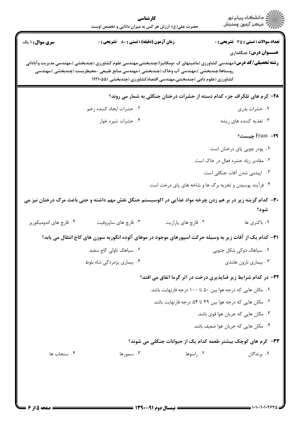|                                                                         | كارشناسي<br>حضرت علی(ع): ارزش هر کس به میزان دانایی و تخصص اوست                                                                                                                                                                                                                                     |                                                            | ڪ دانشڪاه پيام نور<br>ر∕⊂ مرڪز آزمون وسنڊش                                  |
|-------------------------------------------------------------------------|-----------------------------------------------------------------------------------------------------------------------------------------------------------------------------------------------------------------------------------------------------------------------------------------------------|------------------------------------------------------------|-----------------------------------------------------------------------------|
| <b>سری سوال : ۱ یک</b>                                                  | <b>زمان آزمون (دقیقه) : تستی : 80 ٪ تشریحی : 0</b>                                                                                                                                                                                                                                                  |                                                            | <b>تعداد سوالات : تستی : 35 تشریحی : 0</b><br><b>عنـــوان درس:</b> جنگلداری |
|                                                                         | <b>رشته تحصیلی/کد درس:</b> مهندسی کشاورزی (ماشینهای ک ×ومکانیزا)چندبخشی،مهندسی علوم کشاورزی (چندبخشی )،مهندسی مدیریت وآبادانی<br>روستاها(چندبخشی )،مهندسی آب وخاک (چندبخشی )،مهندسی منابع طبیعی -محیطزیست (چندبخشی )،مهندسی<br>کشاورزی (علوم دامی )چندبخشی،مهندسی اقتصادکشاورزی (چندبخشی )۱۱۲۱۰۵۵ ( |                                                            |                                                                             |
| ۲۸- کرم های تلگراف جزء کدام دسته از حشرات درختان جنگلی به شمار می روند؟ |                                                                                                                                                                                                                                                                                                     |                                                            |                                                                             |
|                                                                         | ۰۲ حشرات ایجاد کننده زخم                                                                                                                                                                                                                                                                            |                                                            | ۰۱ حشرات بذري                                                               |
|                                                                         | ۰۴ حشرات شیره خوار                                                                                                                                                                                                                                                                                  |                                                            | ۰۳ تغذیه کننده های ریشه                                                     |
|                                                                         |                                                                                                                                                                                                                                                                                                     |                                                            | Frass –۲۹ چیست؟                                                             |
|                                                                         |                                                                                                                                                                                                                                                                                                     |                                                            | ۰۱ پودر چوبی پای درختان است.                                                |
|                                                                         |                                                                                                                                                                                                                                                                                                     |                                                            | ۲. مقادیر زیاد حشره فعال در خاک است.                                        |
|                                                                         |                                                                                                                                                                                                                                                                                                     |                                                            | ۰۳ اپیدمی شدن آفات جنگلی است.                                               |
|                                                                         |                                                                                                                                                                                                                                                                                                     | ۰۴ فرآیند پوسیدن و تجزیه برگ ها و شاخه های پای درخت است.   |                                                                             |
|                                                                         | ۳۰– کدام گزینه زیر در بر هم زدن چرخه مواد غذایی در اکوسیستم جنگل نقش مهم داشته و حتی باعث مرگ درختان نیز می                                                                                                                                                                                         |                                                            | شود؟                                                                        |
| ۰۴ قارچ های اندومیکوریز                                                 | ۰۳ قارچ های ساپروفیت                                                                                                                                                                                                                                                                                | ۰۲ قارچ های پارازیت                                        | ۰۱ باکتری ها                                                                |
|                                                                         | ۳۱− کدام یک از آفات زیر به وسیله حرکت اسپورهای موجود در موهای آلوده انگوربه سوزن های کاج انتقال می یابد؟                                                                                                                                                                                            |                                                            |                                                                             |
|                                                                         | ۰۲ سیاهک تاولی کاج سفید                                                                                                                                                                                                                                                                             |                                                            | ۰۱ سیاهک دوکی شکل جنوبی                                                     |
|                                                                         | ۰۴ بیماری پژمردگی شاه بلوط                                                                                                                                                                                                                                                                          |                                                            | ۰۳ بیماری نارون هلندی                                                       |
|                                                                         |                                                                                                                                                                                                                                                                                                     |                                                            | 33- در کدام شرایط زیر فناپذیری درخت در اثر گرما اتفاق می افتد؟              |
|                                                                         |                                                                                                                                                                                                                                                                                                     | ۰۱ مکان هایی که درجه هوا بین ۵۰ تا ۱۰۰ درجه فارنهایت باشد. |                                                                             |
|                                                                         |                                                                                                                                                                                                                                                                                                     | ۰۲ مکان هایی که درجه هوا بین ۴۹ تا ۵۴ درجه فارنهایت باشد.  |                                                                             |
|                                                                         |                                                                                                                                                                                                                                                                                                     |                                                            | ۰۳ مکان هایی که جریان هوا قوی باشد.                                         |
|                                                                         |                                                                                                                                                                                                                                                                                                     |                                                            | ۰۴ مکان هایی که جریان هوا ضعیف باشد.                                        |
|                                                                         |                                                                                                                                                                                                                                                                                                     |                                                            | <b>۳۳</b> − کرم های کوچک بیشتر طعمه کدام یک از حیوانات جنگلی می شوند؟       |
| ۰۴ سنجاب ها                                                             | ۰۳ سمورها                                                                                                                                                                                                                                                                                           | ۰۲ راسوها                                                  | ۰۱ پرندگان                                                                  |
|                                                                         |                                                                                                                                                                                                                                                                                                     |                                                            |                                                                             |